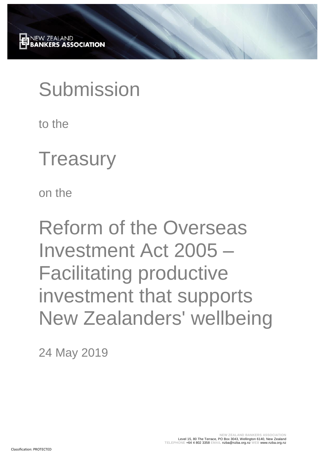# Submission

to the

## **Treasury**

on the

Reform of the Overseas Investment Act 2005 – Facilitating productive investment that supports New Zealanders' wellbeing

24 May 2019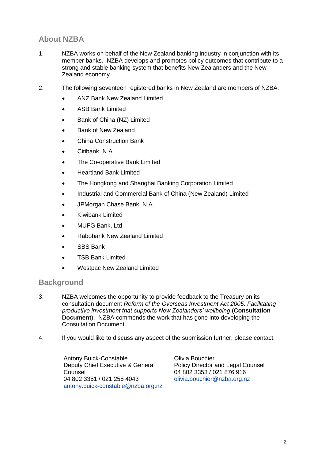### **About NZBA**

- 1. NZBA works on behalf of the New Zealand banking industry in conjunction with its member banks. NZBA develops and promotes policy outcomes that contribute to a strong and stable banking system that benefits New Zealanders and the New Zealand economy.
- 2. The following seventeen registered banks in New Zealand are members of NZBA:
	- ANZ Bank New Zealand Limited
	- ASB Bank Limited
	- Bank of China (NZ) Limited
	- Bank of New Zealand
	- China Construction Bank
	- Citibank, N.A.
	- The Co-operative Bank Limited
	- Heartland Bank Limited
	- The Hongkong and Shanghai Banking Corporation Limited
	- Industrial and Commercial Bank of China (New Zealand) Limited
	- JPMorgan Chase Bank, N.A.
	- Kiwibank Limited
	- MUFG Bank, Ltd
	- Rabobank New Zealand Limited
	- SBS Bank
	- TSB Bank Limited
	- Westpac New Zealand Limited

#### **Background**

- 3. NZBA welcomes the opportunity to provide feedback to the Treasury on its consultation document *Reform of the Overseas Investment Act 2005: Facilitating productive investment that supports New Zealanders' wellbeing* (**Consultation Document**). NZBA commends the work that has gone into developing the Consultation Document.
- 4. If you would like to discuss any aspect of the submission further, please contact:

Antony Buick-Constable Deputy Chief Executive & General **Counsel** 04 802 3351 / 021 255 4043 [antony.buick-constable@nzba.org.nz](mailto:antony.buick-constable@nzba.org.nz) Olivia Bouchier Policy Director and Legal Counsel 04 802 3353 / 021 876 916 [olivia.bouchier@nzba.org.nz](mailto:olivia.bouchier@nzba.org.nz)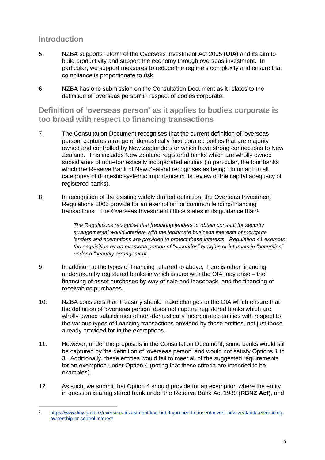#### **Introduction**

 $\overline{a}$ 

- 5. NZBA supports reform of the Overseas Investment Act 2005 (**OIA**) and its aim to build productivity and support the economy through overseas investment. In particular, we support measures to reduce the regime's complexity and ensure that compliance is proportionate to risk.
- 6. NZBA has one submission on the Consultation Document as it relates to the definition of 'overseas person' in respect of bodies corporate.

**Definition of 'overseas person' as it applies to bodies corporate is too broad with respect to financing transactions**

- 7. The Consultation Document recognises that the current definition of 'overseas person' captures a range of domestically incorporated bodies that are majority owned and controlled by New Zealanders or which have strong connections to New Zealand. This includes New Zealand registered banks which are wholly owned subsidiaries of non-domestically incorporated entities (in particular, the four banks which the Reserve Bank of New Zealand recognises as being 'dominant' in all categories of domestic systemic importance in its review of the capital adequacy of registered banks).
- 8. In recognition of the existing widely drafted definition, the Overseas Investment Regulations 2005 provide for an exemption for common lending/financing transactions. The Overseas Investment Office states in its guidance that:<sup>1</sup>

*The Regulations recognise that [requiring lenders to obtain consent for security arrangements] would interfere with the legitimate business interests of mortgage lenders and exemptions are provided to protect these interests. Regulation 41 exempts the acquisition by an overseas person of "securities" or rights or interests in "securities" under a "security arrangement.*

- 9. In addition to the types of financing referred to above, there is other financing undertaken by registered banks in which issues with the OIA may arise – the financing of asset purchases by way of sale and leaseback, and the financing of receivables purchases.
- 10. NZBA considers that Treasury should make changes to the OIA which ensure that the definition of 'overseas person' does not capture registered banks which are wholly owned subsidiaries of non-domestically incorporated entities with respect to the various types of financing transactions provided by those entities, not just those already provided for in the exemptions.
- 11. However, under the proposals in the Consultation Document, some banks would still be captured by the definition of 'overseas person' and would not satisfy Options 1 to 3. Additionally, these entities would fail to meet all of the suggested requirements for an exemption under Option 4 (noting that these criteria are intended to be examples).
- 12. As such, we submit that Option 4 should provide for an exemption where the entity in question is a registered bank under the Reserve Bank Act 1989 (**RBNZ Act**), and

<sup>1</sup> [https://www.linz.govt.nz/overseas-investment/find-out-if-you-need-consent-invest-new-zealand/determining](https://www.linz.govt.nz/overseas-investment/find-out-if-you-need-consent-invest-new-zealand/determining-ownership-or-control-interest)[ownership-or-control-interest](https://www.linz.govt.nz/overseas-investment/find-out-if-you-need-consent-invest-new-zealand/determining-ownership-or-control-interest)